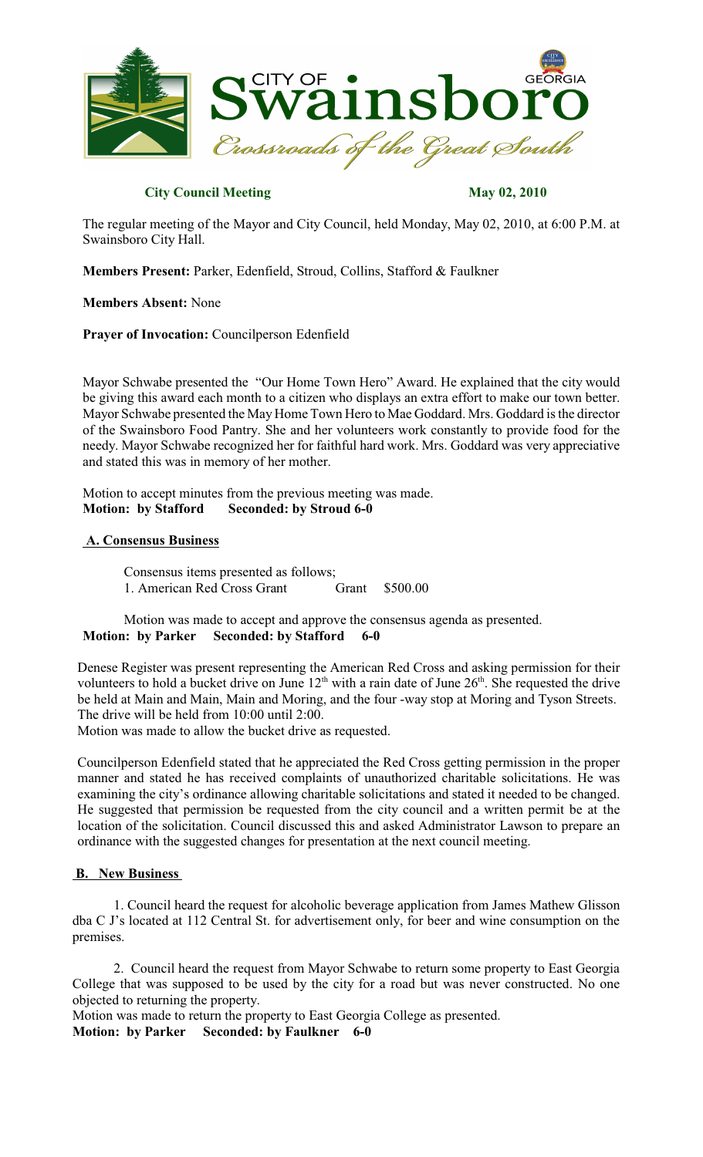

### **City Council Meeting May 02, 2010**

The regular meeting of the Mayor and City Council, held Monday, May 02, 2010, at 6:00 P.M. at Swainsboro City Hall.

**Members Present:** Parker, Edenfield, Stroud, Collins, Stafford & Faulkner

#### **Members Absent:** None

**Prayer of Invocation:** Councilperson Edenfield

Mayor Schwabe presented the "Our Home Town Hero" Award. He explained that the city would be giving this award each month to a citizen who displays an extra effort to make our town better. Mayor Schwabe presented the MayHome Town Hero to Mae Goddard. Mrs. Goddard is the director of the Swainsboro Food Pantry. She and her volunteers work constantly to provide food for the needy. Mayor Schwabe recognized her for faithful hard work. Mrs. Goddard was very appreciative and stated this was in memory of her mother.

Motion to accept minutes from the previous meeting was made. **Motion: by Stafford Seconded: by Stroud 6-0**

### **A. Consensus Business**

Consensus items presented as follows; 1. American Red Cross Grant Grant \$500.00

Motion was made to accept and approve the consensus agenda as presented. **Motion: by Parker Seconded: by Stafford 6-0**

Denese Register was present representing the American Red Cross and asking permission for their volunteers to hold a bucket drive on June  $12<sup>th</sup>$  with a rain date of June  $26<sup>th</sup>$ . She requested the drive be held at Main and Main, Main and Moring, and the four -way stop at Moring and Tyson Streets. The drive will be held from 10:00 until 2:00.

Motion was made to allow the bucket drive as requested.

Councilperson Edenfield stated that he appreciated the Red Cross getting permission in the proper manner and stated he has received complaints of unauthorized charitable solicitations. He was examining the city's ordinance allowing charitable solicitations and stated it needed to be changed. He suggested that permission be requested from the city council and a written permit be at the location of the solicitation. Council discussed this and asked Administrator Lawson to prepare an ordinance with the suggested changes for presentation at the next council meeting.

#### **B. New Business**

1. Council heard the request for alcoholic beverage application from James Mathew Glisson dba C J's located at 112 Central St. for advertisement only, for beer and wine consumption on the premises.

2. Council heard the request from Mayor Schwabe to return some property to East Georgia College that was supposed to be used by the city for a road but was never constructed. No one objected to returning the property.

Motion was made to return the property to East Georgia College as presented. **Motion: by Parker Seconded: by Faulkner 6-0**